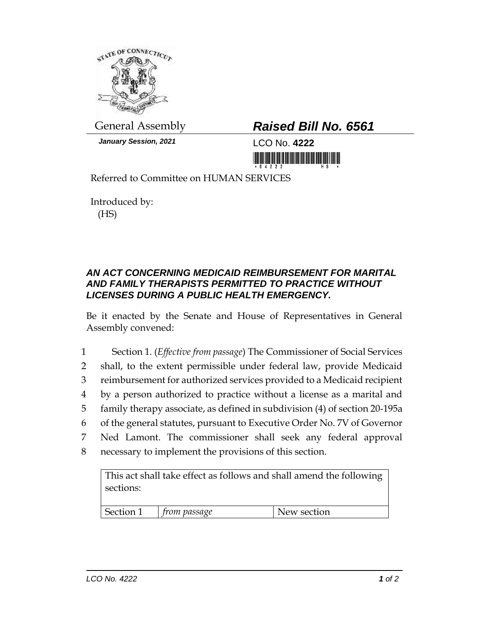

*January Session, 2021* LCO No. **4222**

## General Assembly *Raised Bill No. 6561*

<u> 1999 - An Dùbhlachd Marwrig Marwr a 1999 - An Dùbhlachd Marwr a 1999 - An Dùbhlachd Marwr a 1999 - An Dùbhlach</u>

Referred to Committee on HUMAN SERVICES

Introduced by: (HS)

## *AN ACT CONCERNING MEDICAID REIMBURSEMENT FOR MARITAL AND FAMILY THERAPISTS PERMITTED TO PRACTICE WITHOUT LICENSES DURING A PUBLIC HEALTH EMERGENCY.*

Be it enacted by the Senate and House of Representatives in General Assembly convened:

 Section 1. (*Effective from passage*) The Commissioner of Social Services shall, to the extent permissible under federal law, provide Medicaid reimbursement for authorized services provided to a Medicaid recipient by a person authorized to practice without a license as a marital and family therapy associate, as defined in subdivision (4) of section 20-195a of the general statutes, pursuant to Executive Order No. 7V of Governor Ned Lamont. The commissioner shall seek any federal approval necessary to implement the provisions of this section.

This act shall take effect as follows and shall amend the following sections:

| Section 1 | rom passage | New section |
|-----------|-------------|-------------|